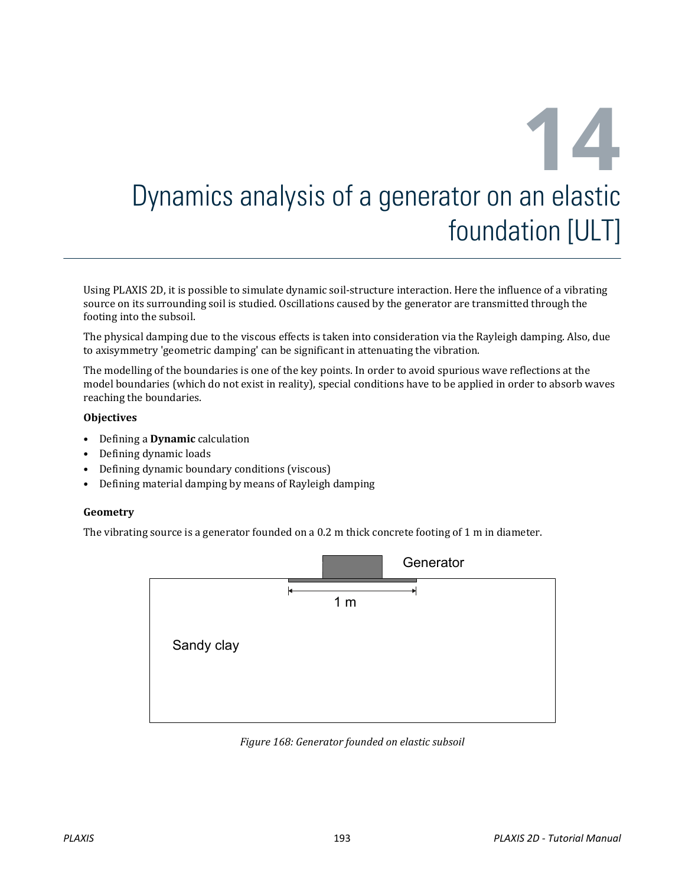# **14** Dynamics analysis of a generator on an elastic foundation [ULT]

Using PLAXIS 2D, it is possible to simulate dynamic soil-structure interaction. Here the influence of a vibrating source on its surrounding soil is studied. Oscillations caused by the generator are transmitted through the footing into the subsoil.

The physical damping due to the viscous effects is taken into consideration via the Rayleigh damping. Also, due to axisymmetry 'geometric damping' can be significant in attenuating the vibration.

The modelling of the boundaries is one of the key points. In order to avoid spurious wave reflections at the model boundaries (which do not exist in reality), special conditions have to be applied in order to absorb waves reaching the boundaries.

#### **Objectives**

- Defining a **Dynamic** calculation
- Defining dynamic loads
- Defining dynamic boundary conditions (viscous)
- Defining material damping by means of Rayleigh damping

#### **Geometry**

The vibrating source is a generator founded on a 0.2 m thick concrete footing of 1 m in diameter.



*Figure 168: Generator founded on elastic subsoil*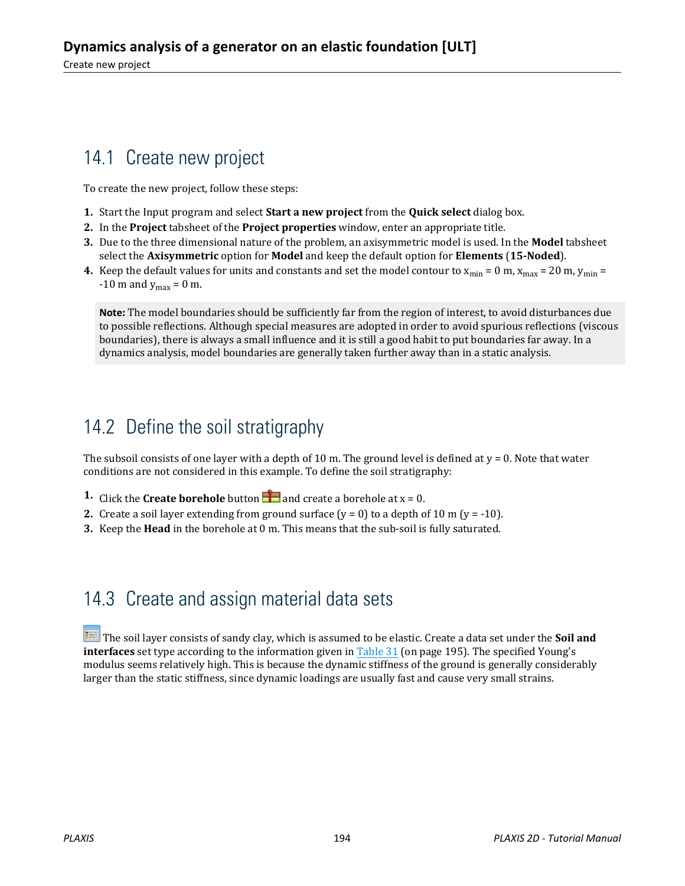# 14.1 Create new project

To create the new project, follow these steps:

- **1.** Start the Input program and select **Start a new project** from the **Quick select** dialog box.
- **2.** In the **Project** tabsheet of the **Project properties** window, enter an appropriate title.
- **3.** Due to the three dimensional nature of the problem, an axisymmetric model is used. In the **Model** tabsheet select the **Axisymmetric** option for **Model** and keep the default option for **Elements** (**15-Noded**).
- **4.** Keep the default values for units and constants and set the model contour to  $x_{min} = 0$  m,  $x_{max} = 20$  m,  $y_{min} = 1$  $-10$  m and  $y_{\text{max}} = 0$  m.

**Note:** The model boundaries should be sufficiently far from the region of interest, to avoid disturbances due to possible reflections. Although special measures are adopted in order to avoid spurious reflections (viscous boundaries), there is always a small influence and it is still a good habit to put boundaries far away. In a dynamics analysis, model boundaries are generally taken further away than in a static analysis.

# 14.2 Define the soil stratigraphy

The subsoil consists of one layer with a depth of 10 m. The ground level is defined at  $y = 0$ . Note that water conditions are not considered in this example. To define the soil stratigraphy:

- **1.** Click the **Create borehole** button **and create a borehole at**  $x = 0$ **.**
- **2.** Create a soil layer extending from ground surface  $(y = 0)$  to a depth of 10 m  $(y = -10)$ .
- **3.** Keep the **Head** in the borehole at 0 m. This means that the sub-soil is fully saturated.

# 14.3 Create and assign material data sets

 The soil layer consists of sandy clay, which is assumed to be elastic. Create a data set under the **Soil and interfaces** set type according to the information given in Table 31 (on page 195). The specified Young's modulus seems relatively high. This is because the dynamic stiffness of the ground is generally considerably larger than the static stiffness, since dynamic loadings are usually fast and cause very small strains.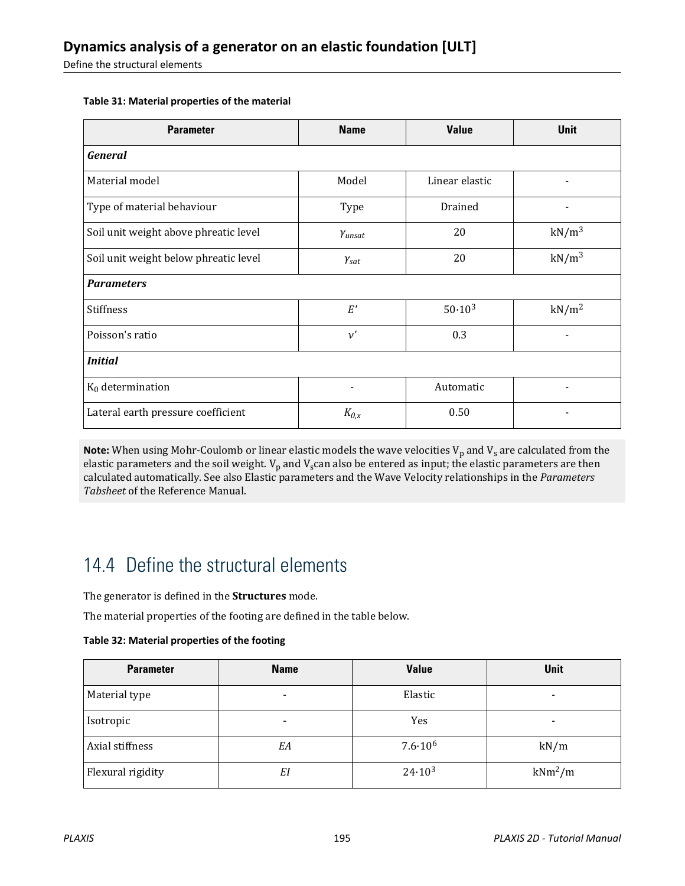Define the structural elements

| <b>Parameter</b>                      | <b>Name</b>      | <b>Value</b>   | <b>Unit</b>       |  |  |  |
|---------------------------------------|------------------|----------------|-------------------|--|--|--|
| <b>General</b>                        |                  |                |                   |  |  |  |
| Material model                        | Model            | Linear elastic |                   |  |  |  |
| Type of material behaviour            | Type             | Drained        |                   |  |  |  |
| Soil unit weight above phreatic level | Yunsat           | 20             | $kN/m^3$          |  |  |  |
| Soil unit weight below phreatic level | $Y_{\text{sat}}$ | 20             | $kN/m^3$          |  |  |  |
| <b>Parameters</b>                     |                  |                |                   |  |  |  |
| Stiffness                             | E'               | $50.10^{3}$    | kN/m <sup>2</sup> |  |  |  |
| Poisson's ratio                       | $\nu'$           | 0.3            |                   |  |  |  |
| <b>Initial</b>                        |                  |                |                   |  |  |  |
| $K_0$ determination                   |                  | Automatic      |                   |  |  |  |
| Lateral earth pressure coefficient    | $K_{0,x}$        | 0.50           |                   |  |  |  |

#### **Table 31: Material properties of the material**

 $\bm{\mathsf{Note}}$ : When using Mohr-Coulomb or linear elastic models the wave velocities  $\bm{\mathsf{V}}_p$  and  $\bm{\mathsf{V}}_s$  are calculated from the elastic parameters and the soil weight.  $V_p$  and  $V_s$  can also be entered as input; the elastic parameters are then calculated automatically. See also Elastic parameters and the Wave Velocity relationships in the *Parameters Tabsheet* of the Reference Manual.

# 14.4 Define the structural elements

The generator is defined in the **Structures** mode.

The material properties of the footing are defined in the table below.

**Table 32: Material properties of the footing**

| <b>Parameter</b>  | <b>Name</b> | <b>Value</b>       | Unit                     |
|-------------------|-------------|--------------------|--------------------------|
| Material type     |             | Elastic            | -                        |
| Isotropic         | -           | Yes                | $\overline{\phantom{0}}$ |
| Axial stiffness   | EΑ          | $7.6 \cdot 10^{6}$ | kN/m                     |
| Flexural rigidity | EI          | 24.10 <sup>3</sup> | $kNm^2/m$                |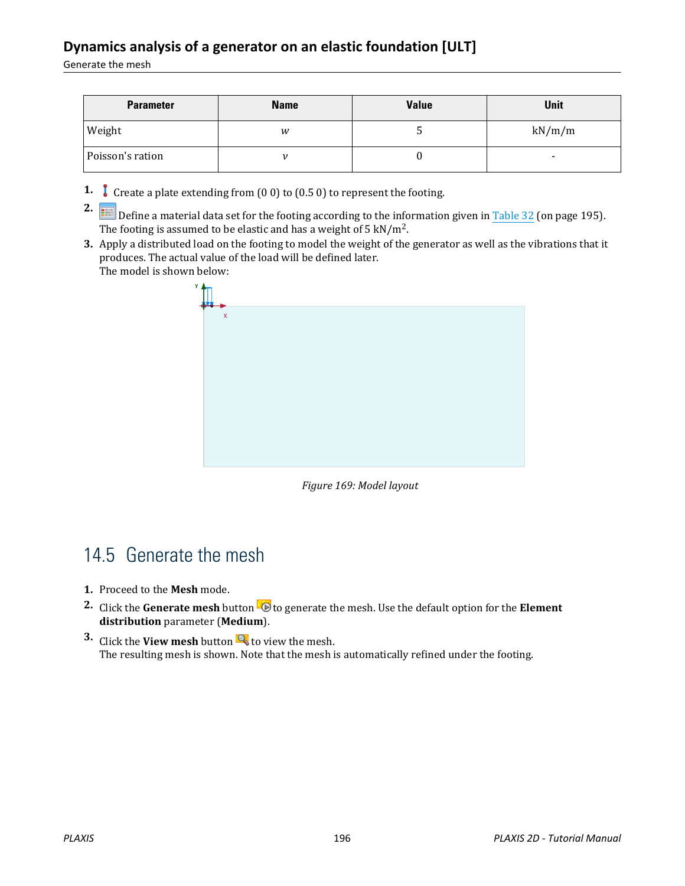#### **Dynamics analysis of a generator on an elastic foundation [ULT]**

Generate the mesh

| <b>Parameter</b> | <b>Name</b> | <b>Value</b> | Unit   |
|------------------|-------------|--------------|--------|
| Weight           | w           | ັ            | kN/m/m |
| Poisson's ration |             |              | -      |

**1.** Create a plate extending from (0 0) to (0.5 0) to represent the footing.

**2. Example 19** Define a material data set for the footing according to the information given in Table 32 (on page 195). The footing is assumed to be elastic and has a weight of 5 kN/m<sup>2</sup>.

**3.** Apply a distributed load on the footing to model the weight of the generator as well as the vibrations that it produces. The actual value of the load will be defined later. The model is shown below:



*Figure 169: Model layout*

# 14.5 Generate the mesh

- **1.** Proceed to the **Mesh** mode.
- **2.** Click the **Generate mesh** button **the** to generate the mesh. Use the default option for the **Element distribution** parameter (**Medium**).
- **3.** Click the **View mesh** button **the view the mesh.** The resulting mesh is shown. Note that the mesh is automatically refined under the footing.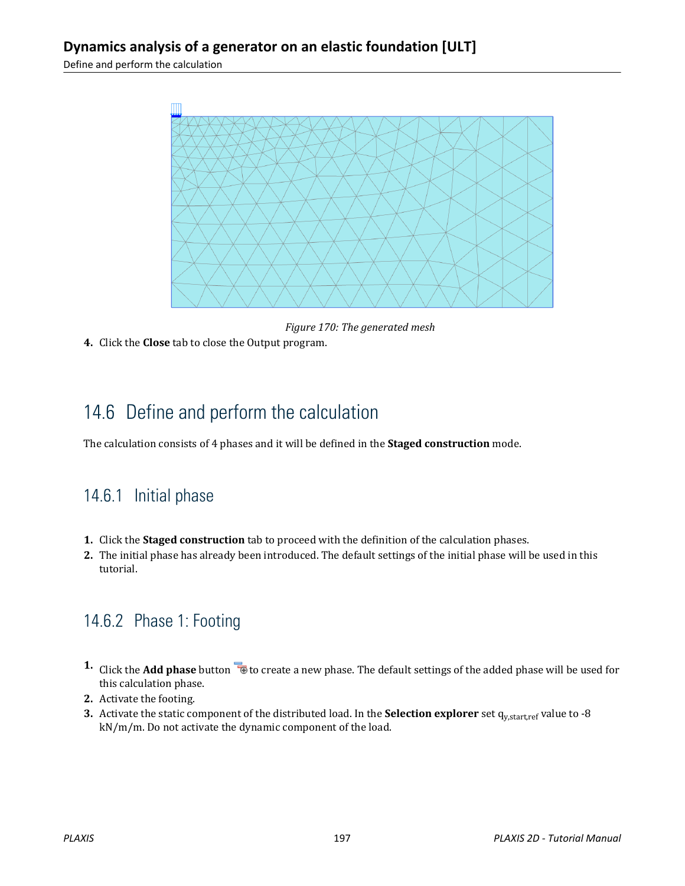

*Figure 170: The generated mesh*

**4.** Click the **Close** tab to close the Output program.

# 14.6 Define and perform the calculation

The calculation consists of 4 phases and it will be defined in the **Staged construction** mode.

#### 14.6.1 Initial phase

- **1.** Click the **Staged construction** tab to proceed with the definition of the calculation phases.
- **2.** The initial phase has already been introduced. The default settings of the initial phase will be used in this tutorial.

## 14.6.2 Phase 1: Footing

- 1. Click the **Add phase** button **the create a new phase.** The default settings of the added phase will be used for this calculation phase.
- **2.** Activate the footing.
- **3.** Activate the static component of the distributed load. In the **Selection explorer** set q<sub>y,start,ref value to -8</sub> kN/m/m. Do not activate the dynamic component of the load.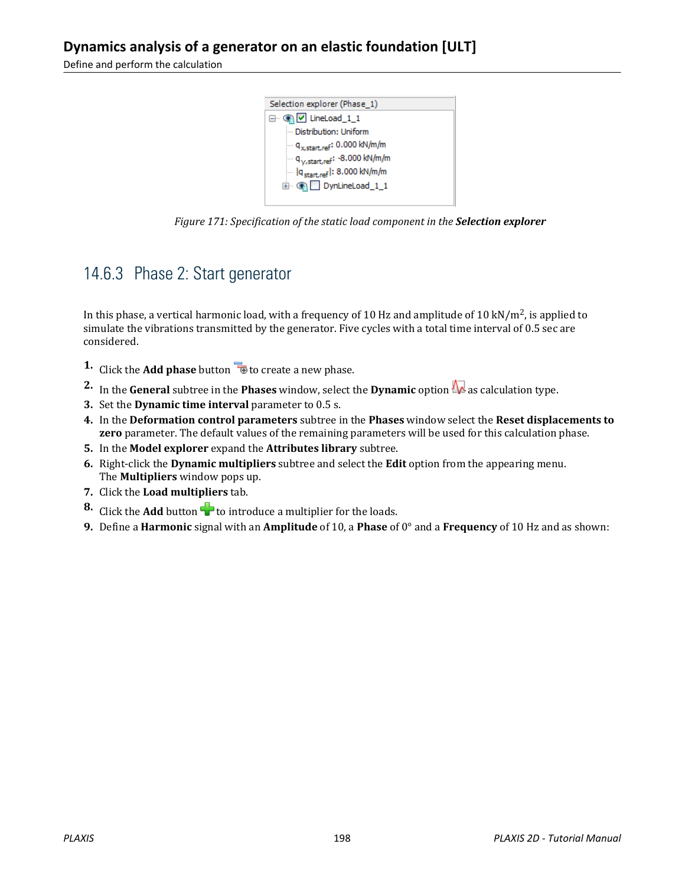

*Figure 171: Specification of the static load component in the Selection explorer*

#### 14.6.3 Phase 2: Start generator

In this phase, a vertical harmonic load, with a frequency of 10 Hz and amplitude of 10 kN/m<sup>2</sup>, is applied to simulate the vibrations transmitted by the generator. Five cycles with a total time interval of 0.5 sec are considered.

- **1.** Click the **Add phase** button **the contract a new phase.**
- **2.** In the **General** subtree in the **Phases** window, select the **Dynamic** option  $\mathbf{w}$  as calculation type.
- **3.** Set the **Dynamic time interval** parameter to 0.5 s.
- **4.** In the **Deformation control parameters** subtree in the **Phases** window select the **Reset displacements to zero** parameter. The default values of the remaining parameters will be used for this calculation phase.
- **5.** In the **Model explorer** expand the **Attributes library** subtree.
- **6.** Right-click the **Dynamic multipliers** subtree and select the **Edit** option from the appearing menu. The **Multipliers** window pops up.
- **7.** Click the **Load multipliers** tab.
- **8.** Click the **Add** button **th** to introduce a multiplier for the loads.
- **9.** Define a **Harmonic** signal with an **Amplitude** of 10, a **Phase** of 0° and a **Frequency** of 10 Hz and as shown: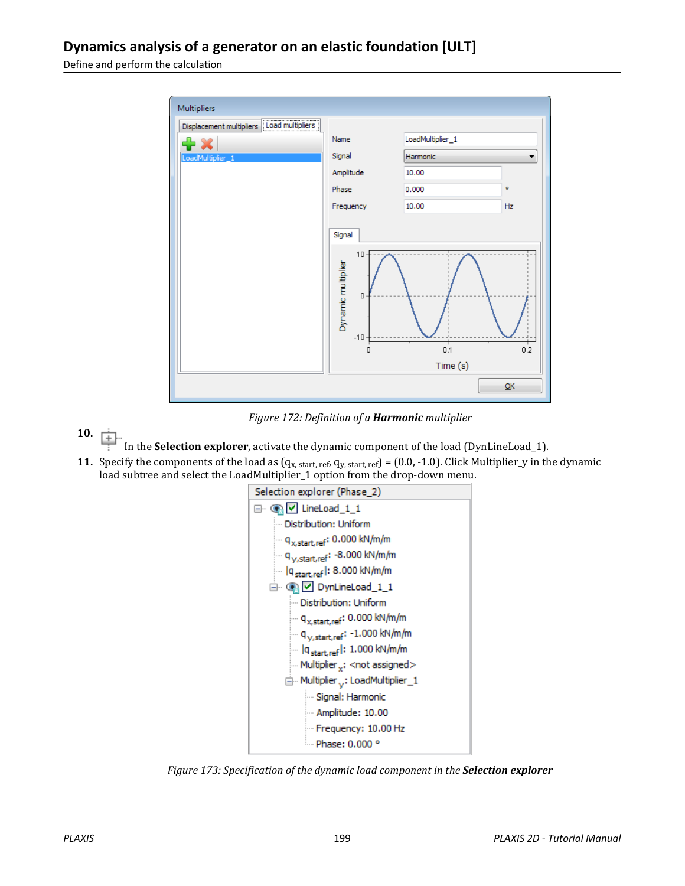| Multipliers                                 |                                                                                                   |          |           |  |
|---------------------------------------------|---------------------------------------------------------------------------------------------------|----------|-----------|--|
| Displacement multipliers [Load multipliers] | LoadMultiplier_1<br>Name                                                                          |          |           |  |
| LoadMultiplier_1                            | Signal                                                                                            | Harmonic |           |  |
|                                             | Amplitude                                                                                         | 10.00    |           |  |
|                                             | Phase                                                                                             | 0.000    | $\bullet$ |  |
|                                             | Frequency                                                                                         | 10.00    | Hz        |  |
|                                             | Signal<br>10<br>Dynamic multiplier<br>$\overline{0}$<br>$-10 -$<br>0.1<br>$\mathbf 0$<br>Time (s) |          | 0.2<br>QK |  |

*Figure 172: Definition of a Harmonic multiplier*

- **10.**  $\frac{1}{|+|}$ 
	- In the **Selection explorer**, activate the dynamic component of the load (DynLineLoad\_1).
- **11.** Specify the components of the load as  $(q_{x, start, ref}, q_{y, start, ref}) = (0.0, -1.0)$ . Click Multiplier\_y in the dynamic load subtree and select the LoadMultiplier\_1 option from the drop-down menu.



*Figure 173: Specification of the dynamic load component in the Selection explorer*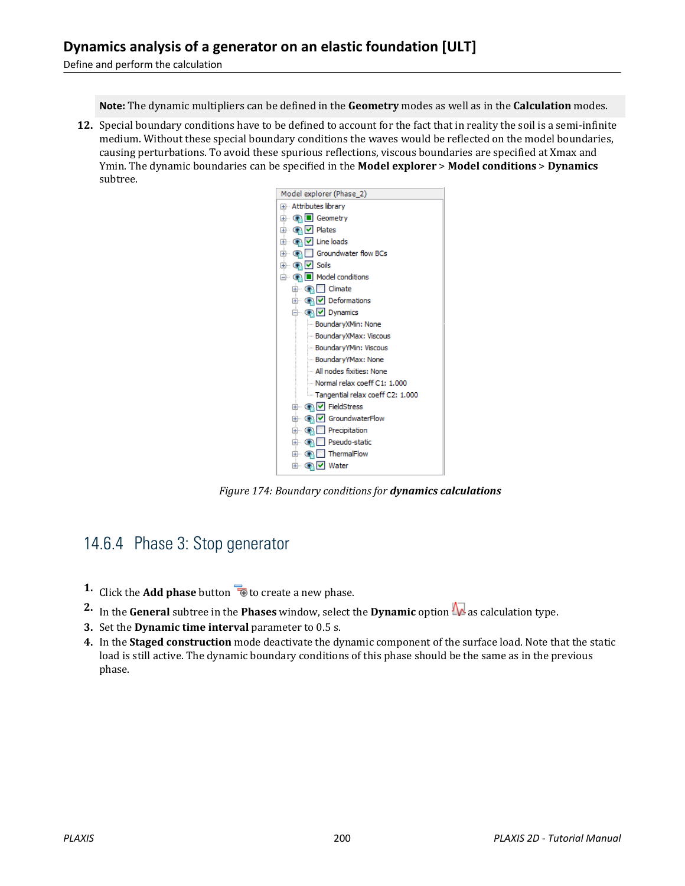**Note:** The dynamic multipliers can be defined in the **Geometry** modes as well as in the **Calculation** modes.

**12.** Special boundary conditions have to be defined to account for the fact that in reality the soil is a semi-infinite medium. Without these special boundary conditions the waves would be reflected on the model boundaries, causing perturbations. To avoid these spurious reflections, viscous boundaries are specified at Xmax and Ymin. The dynamic boundaries can be specified in the **Model explorer** > **Model conditions** > **Dynamics** subtree.



*Figure 174: Boundary conditions for dynamics calculations*

#### 14.6.4 Phase 3: Stop generator

- **1.** Click the **Add phase** button **the contract of the Add phase.**
- **2.** In the **General** subtree in the **Phases** window, select the **Dynamic** option  $\mathbf{w}$  as calculation type.
- **3.** Set the **Dynamic time interval** parameter to 0.5 s.
- **4.** In the **Staged construction** mode deactivate the dynamic component of the surface load. Note that the static load is still active. The dynamic boundary conditions of this phase should be the same as in the previous phase.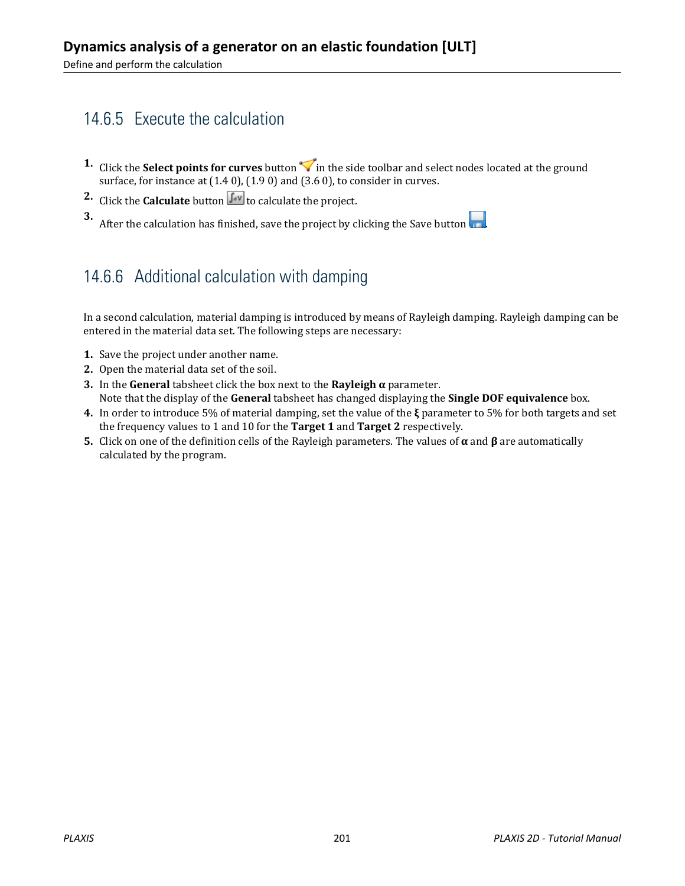## 14.6.5 Execute the calculation

- **1.** Click the **Select points for curves** button in the side toolbar and select nodes located at the ground surface, for instance at (1.4 0), (1.9 0) and (3.6 0), to consider in curves.
- **2.** Click the **Calculate** button  $\int_{0}^{\infty}$  to calculate the project.

**3.** After the calculation has finished, save the project by clicking the Save button  $\begin{array}{|c|c|}\n\hline\n\end{array}$ 

### 14.6.6 Additional calculation with damping

In a second calculation, material damping is introduced by means of Rayleigh damping. Rayleigh damping can be entered in the material data set. The following steps are necessary:

- **1.** Save the project under another name.
- **2.** Open the material data set of the soil.
- **3.** In the **General** tabsheet click the box next to the **Rayleigh α** parameter. Note that the display of the **General** tabsheet has changed displaying the **Single DOF equivalence** box.
- **4.** In order to introduce 5% of material damping, set the value of the **ξ** parameter to 5% for both targets and set the frequency values to 1 and 10 for the **Target 1** and **Target 2** respectively.
- **5.** Click on one of the definition cells of the Rayleigh parameters. The values of **α** and **β** are automatically calculated by the program.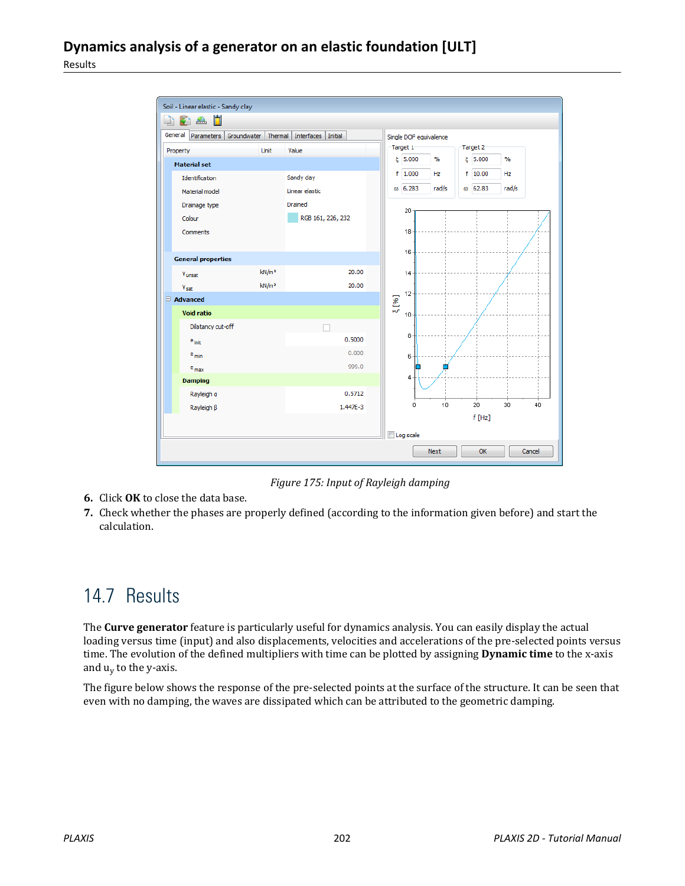

*Figure 175: Input of Rayleigh damping*

- **6.** Click **OK** to close the data base.
- **7.** Check whether the phases are properly defined (according to the information given before) and start the calculation.

# 14.7 Results

The **Curve generator** feature is particularly useful for dynamics analysis. You can easily display the actual loading versus time (input) and also displacements, velocities and accelerations of the pre-selected points versus time. The evolution of the defined multipliers with time can be plotted by assigning **Dynamic time** to the x-axis and u<sub>y</sub> to the y-axis.

The figure below shows the response of the pre-selected points at the surface of the structure. It can be seen that even with no damping, the waves are dissipated which can be attributed to the geometric damping.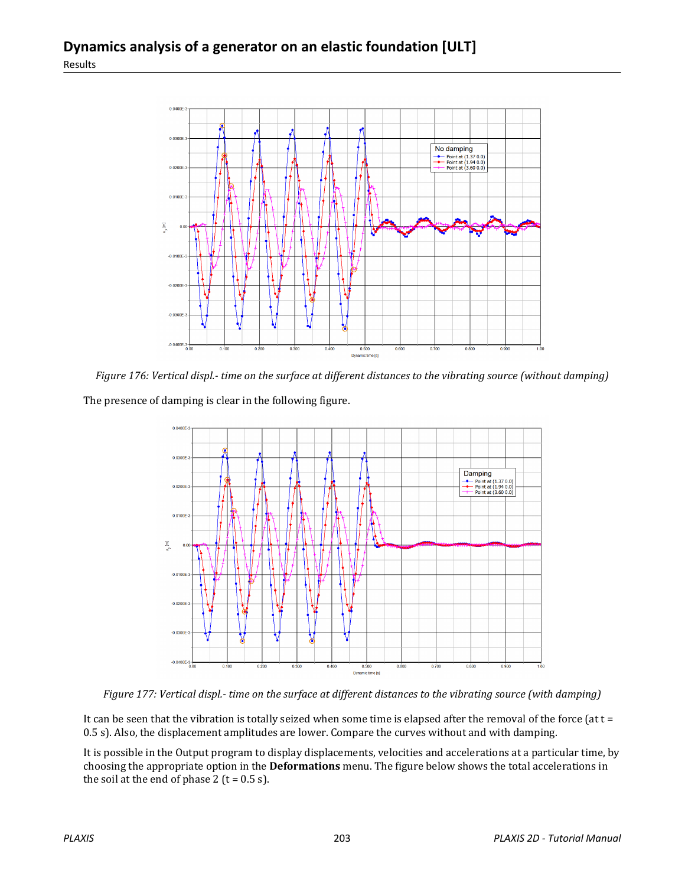

*Figure 176: Vertical displ.- time on the surface at different distances to the vibrating source (without damping)*

The presence of damping is clear in the following figure.



*Figure 177: Vertical displ.- time on the surface at different distances to the vibrating source (with damping)*

It can be seen that the vibration is totally seized when some time is elapsed after the removal of the force (at  $t =$ 0.5 s). Also, the displacement amplitudes are lower. Compare the curves without and with damping.

It is possible in the Output program to display displacements, velocities and accelerations at a particular time, by choosing the appropriate option in the **Deformations** menu. The figure below shows the total accelerations in the soil at the end of phase  $2$  (t = 0.5 s).